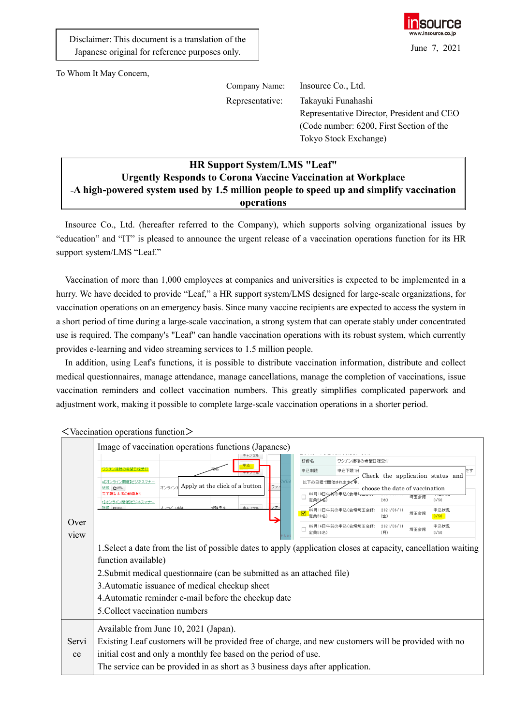

To Whom It May Concern,

Company Name: Insource Co., Ltd.

Representative: Takayuki Funahashi Representative Director, President and CEO (Code number: 6200, First Section of the Tokyo Stock Exchange)

## **HR Support System/LMS "Leaf" Urgently Responds to Corona Vaccine Vaccination at Workplace** -A high-powered system used by 1.5 million people to speed up and simplify vaccination **operations**

Insource Co., Ltd. (hereafter referred to the Company), which supports solving organizational issues by "education" and "IT" is pleased to announce the urgent release of a vaccination operations function for its HR support system/LMS "Leaf."

Vaccination of more than 1,000 employees at companies and universities is expected to be implemented in a hurry. We have decided to provide "Leaf," a HR support system/LMS designed for large-scale organizations, for vaccination operations on an emergency basis. Since many vaccine recipients are expected to access the system in a short period of time during a large-scale vaccination, a strong system that can operate stably under concentrated use is required. The company's "Leaf" can handle vaccination operations with its robust system, which currently provides e-learning and video streaming services to 1.5 million people.

In addition, using Leaf's functions, it is possible to distribute vaccination information, distribute and collect medical questionnaires, manage attendance, manage cancellations, manage the completion of vaccinations, issue vaccination reminders and collect vaccination numbers. This greatly simplifies complicated paperwork and adjustment work, making it possible to complete large-scale vaccination operations in a shorter period.

| Over<br>view | Image of vaccination operations functions (Japanese)<br>ワクチン接種の希望日程受付<br>WEE<br>n【オンライン関催】ビジネスマナー<br>$\vert_{\exists > \exists \rightarrow \exists}$ Apply at the click of a button<br>ファー<br>班修 GURL<br>寄了朝告未済の動画有り<br>t【オンライン開催】ビジネスマナー<br>受講予定<br>キャンセル<br>研修 GeliR<br>オンライン実験                                                                            | 研修名<br>ワクチン接種の希望日程受付<br>申込下限1件<br>申込制限<br>ਾਰ<br>Check the application status and<br>以下の日程で開催されます<br>choose the date of vaccination<br>の申込(会規<br>06月10日午前<br>埼玉会館<br>(木)<br>0/50<br>定員50<br>06月11日午前の申込(会場埼玉会館:<br>2021/06/11<br>申込状況<br>☑<br>埼玉会前<br>定員50名)<br>0/50<br>(舍)<br>申込状況<br>06月14日午前の申込(会場埼玉会館:<br>2021/06/14<br>埼玉会館<br>定員50名)<br>(月)<br>0/50 |
|--------------|--------------------------------------------------------------------------------------------------------------------------------------------------------------------------------------------------------------------------------------------------------------------------------------------------------------------------------------------------------------|----------------------------------------------------------------------------------------------------------------------------------------------------------------------------------------------------------------------------------------------------------------------------------------------------------------------------------------------------------|
|              | 1. Select a date from the list of possible dates to apply (application closes at capacity, cancellation waiting<br>function available)<br>2. Submit medical questionnaire (can be submitted as an attached file)<br>3. Automatic issuance of medical checkup sheet<br>4. Automatic reminder e-mail before the checkup date<br>5. Collect vaccination numbers |                                                                                                                                                                                                                                                                                                                                                          |
| Servi<br>ce  | Available from June 10, 2021 (Japan).<br>Existing Leaf customers will be provided free of charge, and new customers will be provided with no<br>initial cost and only a monthly fee based on the period of use.<br>The service can be provided in as short as 3 business days after application.                                                             |                                                                                                                                                                                                                                                                                                                                                          |

<Vaccination operations function>